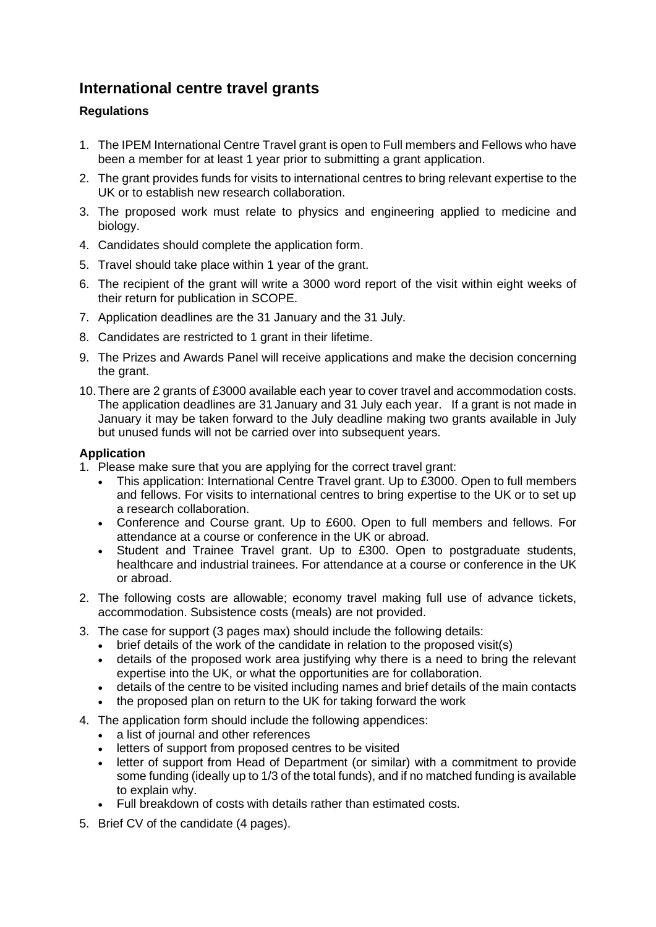## **International centre travel grants**

## **Regulations**

- 1. The IPEM International Centre Travel grant is open to Full members and Fellows who have been a member for at least 1 year prior to submitting a grant application.
- 2. The grant provides funds for visits to international centres to bring relevant expertise to the UK or to establish new research collaboration.
- 3. The proposed work must relate to physics and engineering applied to medicine and biology.
- 4. Candidates should complete the application form.
- 5. Travel should take place within 1 year of the grant.
- 6. The recipient of the grant will write a 3000 word report of the visit within eight weeks of their return for publication in SCOPE.
- 7. Application deadlines are the 31 January and the 31 July.
- 8. Candidates are restricted to 1 grant in their lifetime.
- 9. The Prizes and Awards Panel will receive applications and make the decision concerning the grant.
- 10. There are 2 grants of £3000 available each year to cover travel and accommodation costs. The application deadlines are 31 January and 31 July each year. If a grant is not made in January it may be taken forward to the July deadline making two grants available in July but unused funds will not be carried over into subsequent years.

## **Application**

- 1. Please make sure that you are applying for the correct travel grant:
	- This application: International Centre Travel grant. Up to £3000. Open to full members and fellows. For visits to international centres to bring expertise to the UK or to set up a research collaboration.
	- Conference and Course grant. Up to £600. Open to full members and fellows. For attendance at a course or conference in the UK or abroad.
	- Student and Trainee Travel grant. Up to £300. Open to postgraduate students, healthcare and industrial trainees. For attendance at a course or conference in the UK or abroad.
- 2. The following costs are allowable; economy travel making full use of advance tickets, accommodation. Subsistence costs (meals) are not provided.
- 3. The case for support (3 pages max) should include the following details:
	- brief details of the work of the candidate in relation to the proposed visit(s)
	- details of the proposed work area justifying why there is a need to bring the relevant expertise into the UK, or what the opportunities are for collaboration.
	- details of the centre to be visited including names and brief details of the main contacts
	- the proposed plan on return to the UK for taking forward the work
- 4. The application form should include the following appendices:
	- a list of journal and other references
	- letters of support from proposed centres to be visited
	- letter of support from Head of Department (or similar) with a commitment to provide some funding (ideally up to 1/3 of the total funds), and if no matched funding is available to explain why.
	- Full breakdown of costs with details rather than estimated costs.
- 5. Brief CV of the candidate (4 pages).